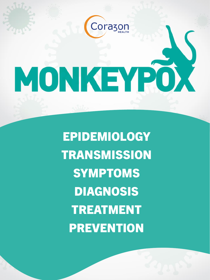# MONKEYPOX

**Corazon** 

EPIDEMIOLOGY **TRANSMISSION** SYMPTOMS **DIAGNOSIS** TREATMENT **PREVENTION**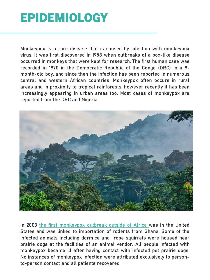#### EPIDEMIOLOGY

Monkeypox is a rare disease that is caused by infection with monkeypox virus. It was first discovered in 1958 when outbreaks of a pox-like disease occurred in monkeys that were kept for research. The first human case was recorded in 1970 in the Democratic Republic of the Congo (DRC) in a 9 month-old boy, and since then the infection has been reported in numerous central and western African countries. Monkeypox often occurs in rural areas and in proximity to tropical rainforests, however recently it has been increasingly appearing in urban areas too. Most cases of monkeypox are reported from the DRC and Nigeria.



In 2003 the first [monkeypox](https://www.cdc.gov/poxvirus/monkeypox/outbreak/us-outbreaks.html?CDC_AA_refVal=https%3A%2F%2Fwww.cdc.gov%2Fpoxvirus%2Fmonkeypox%2Foutbreak.html) outbreak outside of Africa was in the United States and was linked to importation of rodents from Ghana. Some of the infected animals including dormice and rope squirrels were housed near prairie dogs at the facilities of an animal vendor. All people infected with monkeypox became ill after having contact with infected pet prairie dogs. No instances of monkeypox infection were attributed exclusively to personto-person contact and all patients recovered.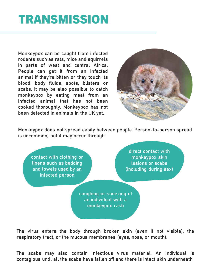## **TRANSMISSION**

Monkeypox can be caught from infected rodents such as rats, mice and squirrels in parts of west and central Africa. People can get it from an infected animal if they're bitten or they touch its blood, body fluids, spots, blisters or scabs. It may be also possible to catch monkeypox by eating meat from an infected animal that has not been cooked thoroughly. Monkeypox has not been detected in animals in the UK yet.



Monkeypox does not spread easily between people. Person-to-person spread is uncommon, but it may occur through:

contact with clothing or linens such as bedding and towels used by an infected person

direct contact with monkeypox skin lesions or scabs (including during sex)

coughing or sneezing of an individual with a monkeypox rash

The virus enters the body through broken skin (even if not visible), the respiratory tract, or the mucous membranes (eyes, nose, or mouth).

The scabs may also contain infectious virus material. An individual is contagious until all the scabs have fallen off and there is intact skin underneath.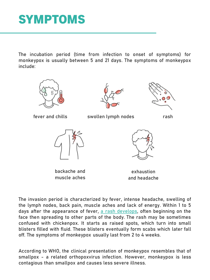### SYMPTOMS

The incubation period (time from infection to onset of symptoms) for monkeypox is usually between 5 and 21 days. The symptoms of monkeypox include:



The invasion period is characterized by fever, intense headache, swelling of the lymph nodes, back pain, muscle aches and lack of energy. Within 1 to 5 days after the appearance of fever, a rash [develops](https://www.gov.uk/guidance/monkeypox), often beginning on the face then spreading to other parts of the body. The rash may be sometimes confused with chickenpox. It starts as raised spots, which turn into small blisters filled with fluid. These blisters eventually form scabs which later fall off. The symptoms of monkeypox usually last from 2 to 4 weeks.

According to WHO, the clinical presentation of monkeypox resembles that of smallpox - a related orthopoxvirus infection. However, monkeypox is less contagious than smallpox and causes less severe illness.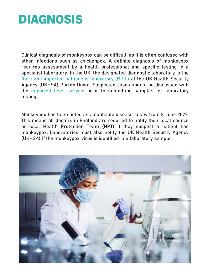## DIAGNOSIS

Clinical diagnosis of monkeypox can be difficult, as it is often confused with other infections such as chickenpox. A definite diagnosis of monkeypox requires assessment by a health professional and specific testing in a specialist laboratory. In the UK, the designated diagnostic laboratory is the Rare and imported pathogens [laboratory](https://www.gov.uk/government/collections/rare-and-imported-pathogens-laboratory-ripl) (RIPL) at the UK Health Security Agency (UKHSA) Porton Down. Suspected cases should be discussed with the **[imported](https://www.gov.uk/guidance/imported-fever-service-ifs) fever service** prior to submitting samples for laboratory testing.

Monkeypox has been listed as a notifiable disease in law from 8 June 2022. This means all doctors in England are required to notify their local council or local Health Protection Team (HPT) if they suspect a patient has monkeypox. Laboratories must also notify the UK Health Security Agency (UKHSA) if the monkeypox virus is identified in a laboratory sample.

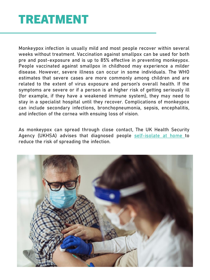#### TREATMENT

Monkeypox infection is usually mild and most people recover within several weeks without treatment. Vaccination against smallpox can be used for both pre and post-exposure and is up to 85% effective in preventing monkeypox. People vaccinated against smallpox in childhood may experience a milder disease. However, severe illness can occur in some individuals. The WHO estimates that severe cases are more commonly among children and are related to the extent of virus exposure and person's overall health. If the symptoms are severe or if a person is at higher risk of getting seriously ill (for example, if they have a weakened immune system), they may need to stay in a specialist hospital until they recover. Complications of monkeypox can include secondary infections, bronchopneumonia, sepsis, encephalitis, and infection of the cornea with ensuing loss of vision.

As monkeypox can spread through close contact, The UK Health Security Agency (UKHSA) advises that diagnosed people [self-isolate](https://www.gov.uk/guidance/guidance-for-people-with-monkeypox-infection-who-are-isolating-at-home) at home to reduce the risk of spreading the infection.

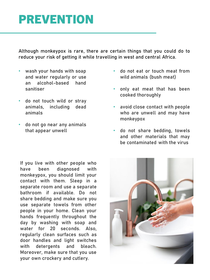#### PREVENTION

Although monkeypox is rare, there are certain things that you could do to reduce your risk of getting it while travelling in west and central Africa.

- wash your hands with soap and water regularly or use an alcohol-based hand sanitiser
- do not touch wild or stray animals, including dead animals
- do not go near any animals that appear unwell

If you live with other people who have been diagnosed with monkeypox, you should limit your contact with them. Sleep in a separate room and use a separate bathroom if available. Do not share bedding and make sure you use separate towels from other people in your home. Clean your hands frequently throughout the day by washing with soap and water for 20 seconds. Also, regularly clean surfaces such as door handles and light switches with detergents and bleach. Moreover, make sure that you use your own crockery and cutlery.

- do not eat or touch meat from wild animals (bush meat)
- only eat meat that has been cooked thoroughly
- avoid close contact with people who are unwell and may have monkeypox
- do not share bedding, towels and other materials that may be contaminated with the virus